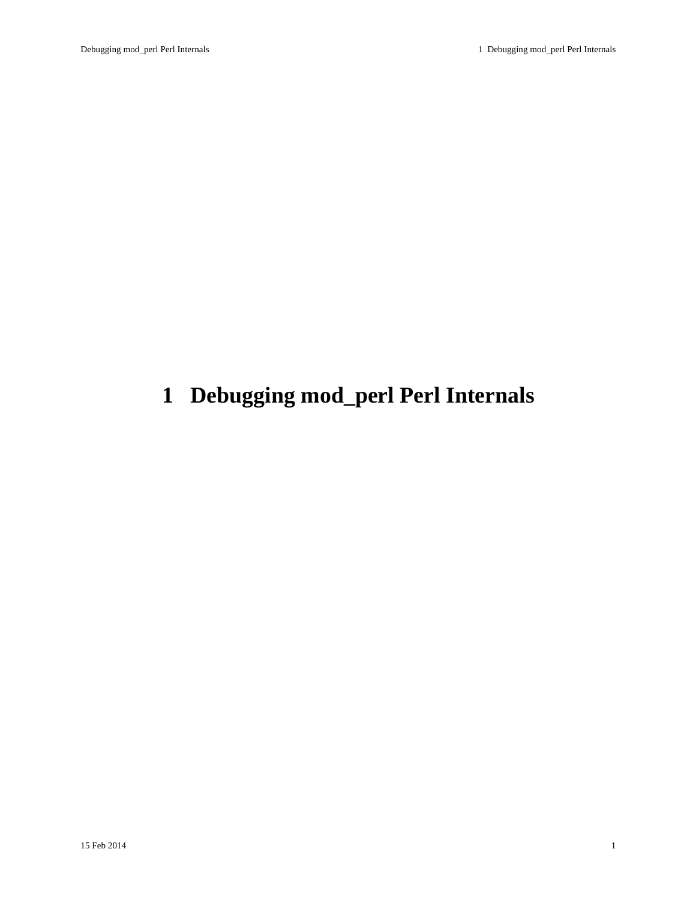# <span id="page-0-0"></span>**1 Debugging mod\_perl Perl Internals**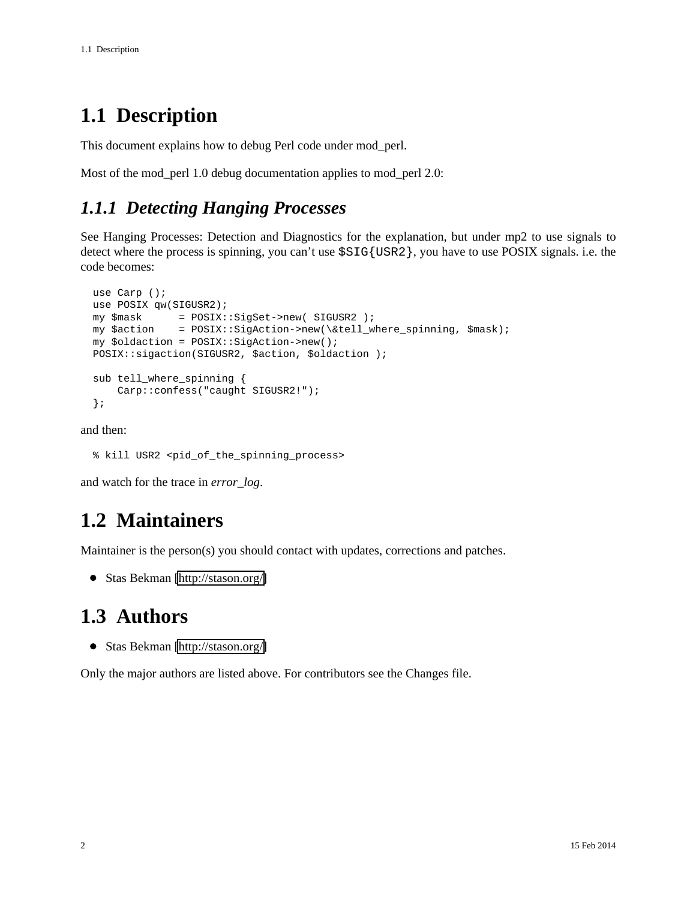### <span id="page-1-0"></span>**1.1 Description**

This document explains how to debug Perl code under mod\_perl.

Most of the mod\_perl 1.0 debug documentation applies to mod\_perl 2.0:

#### <span id="page-1-1"></span>*1.1.1 Detecting Hanging Processes*

See Hanging Processes: Detection and Diagnostics for the explanation, but under mp2 to use signals to detect where the process is spinning, you can't use \$SIG{USR2}, you have to use POSIX signals. i.e. the code becomes:

```
 use Carp ();
use POSIX qw(SIGUSR2);
my $mask = POSIX::SigSet->new( SIGUSR2 );
my $action = POSIX::SigAction->new(\&tell_where_spinning, $mask);
my $oldaction = POSIX::SigAction->new();
POSIX::sigaction(SIGUSR2, $action, $oldaction );
sub tell_where_spinning {
    Carp::confess("caught SIGUSR2!");
};
```
and then:

% kill USR2 <pid\_of\_the\_spinning\_process>

and watch for the trace in *error\_log*.

#### <span id="page-1-2"></span>**1.2 Maintainers**

Maintainer is the person(s) you should contact with updates, corrections and patches.

Stas Bekman [\[http://stason.org/\]](http://stason.org/)

#### <span id="page-1-3"></span>**1.3 Authors**

Stas Bekman [\[http://stason.org/\]](http://stason.org/)

Only the major authors are listed above. For contributors see the Changes file.